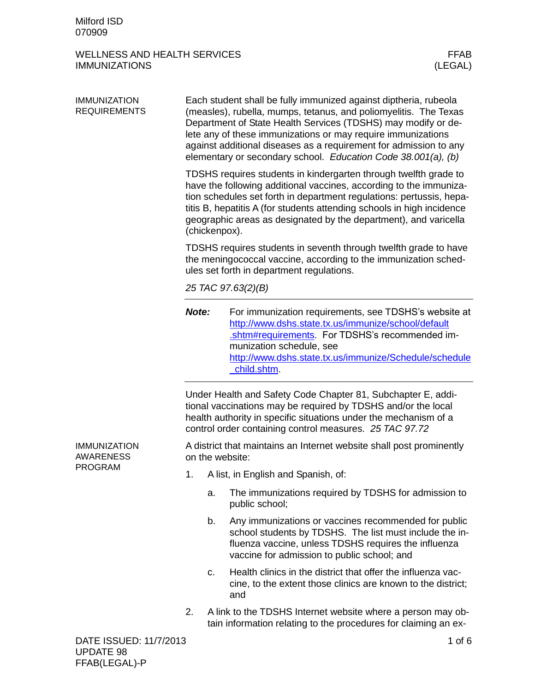# WELLNESS AND HEALTH SERVICES WELLNESS AND HEALTH SERVICES FEAR FEAR FEAR (LEGAL) **IMMUNIZATIONS**

| <b>IMMUNIZATION</b><br><b>REQUIREMENTS</b> | Each student shall be fully immunized against diptheria, rubeola<br>(measles), rubella, mumps, tetanus, and poliomyelitis. The Texas<br>Department of State Health Services (TDSHS) may modify or de-<br>lete any of these immunizations or may require immunizations<br>against additional diseases as a requirement for admission to any<br>elementary or secondary school. Education Code 38.001(a), (b) |                                                                                                                                                                                  |                                                                                                                                                                                                                                                                      |  |  |  |
|--------------------------------------------|-------------------------------------------------------------------------------------------------------------------------------------------------------------------------------------------------------------------------------------------------------------------------------------------------------------------------------------------------------------------------------------------------------------|----------------------------------------------------------------------------------------------------------------------------------------------------------------------------------|----------------------------------------------------------------------------------------------------------------------------------------------------------------------------------------------------------------------------------------------------------------------|--|--|--|
|                                            | TDSHS requires students in kindergarten through twelfth grade to<br>have the following additional vaccines, according to the immuniza-<br>tion schedules set forth in department regulations: pertussis, hepa-<br>titis B, hepatitis A (for students attending schools in high incidence<br>geographic areas as designated by the department), and varicella<br>(chickenpox).                               |                                                                                                                                                                                  |                                                                                                                                                                                                                                                                      |  |  |  |
|                                            |                                                                                                                                                                                                                                                                                                                                                                                                             | TDSHS requires students in seventh through twelfth grade to have<br>the meningococcal vaccine, according to the immunization sched-<br>ules set forth in department regulations. |                                                                                                                                                                                                                                                                      |  |  |  |
|                                            |                                                                                                                                                                                                                                                                                                                                                                                                             | 25 TAC 97.63(2)(B)                                                                                                                                                               |                                                                                                                                                                                                                                                                      |  |  |  |
|                                            | Note:                                                                                                                                                                                                                                                                                                                                                                                                       |                                                                                                                                                                                  | For immunization requirements, see TDSHS's website at<br>http://www.dshs.state.tx.us/immunize/school/default<br>.shtm#requirements. For TDSHS's recommended im-<br>munization schedule, see<br>http://www.dshs.state.tx.us/immunize/Schedule/schedule<br>child.shtm. |  |  |  |
|                                            | Under Health and Safety Code Chapter 81, Subchapter E, addi-<br>tional vaccinations may be required by TDSHS and/or the local<br>health authority in specific situations under the mechanism of a<br>control order containing control measures. 25 TAC 97.72                                                                                                                                                |                                                                                                                                                                                  |                                                                                                                                                                                                                                                                      |  |  |  |
| <b>IMMUNIZATION</b><br><b>AWARENESS</b>    | A district that maintains an Internet website shall post prominently<br>on the website:                                                                                                                                                                                                                                                                                                                     |                                                                                                                                                                                  |                                                                                                                                                                                                                                                                      |  |  |  |
| <b>PROGRAM</b>                             | 1.                                                                                                                                                                                                                                                                                                                                                                                                          |                                                                                                                                                                                  | A list, in English and Spanish, of:                                                                                                                                                                                                                                  |  |  |  |
|                                            |                                                                                                                                                                                                                                                                                                                                                                                                             | a.                                                                                                                                                                               | The immunizations required by TDSHS for admission to<br>public school;                                                                                                                                                                                               |  |  |  |
|                                            |                                                                                                                                                                                                                                                                                                                                                                                                             | b.                                                                                                                                                                               | Any immunizations or vaccines recommended for public<br>school students by TDSHS. The list must include the in-<br>fluenza vaccine, unless TDSHS requires the influenza<br>vaccine for admission to public school; and                                               |  |  |  |
|                                            |                                                                                                                                                                                                                                                                                                                                                                                                             | c.                                                                                                                                                                               | Health clinics in the district that offer the influenza vac-<br>cine, to the extent those clinics are known to the district;<br>and                                                                                                                                  |  |  |  |
|                                            | 2.                                                                                                                                                                                                                                                                                                                                                                                                          |                                                                                                                                                                                  | A link to the TDSHS Internet website where a person may ob-<br>tain information relating to the procedures for claiming an ex-                                                                                                                                       |  |  |  |
| DATE ISSUED: 11/7/2013                     |                                                                                                                                                                                                                                                                                                                                                                                                             |                                                                                                                                                                                  | 1 of $6$                                                                                                                                                                                                                                                             |  |  |  |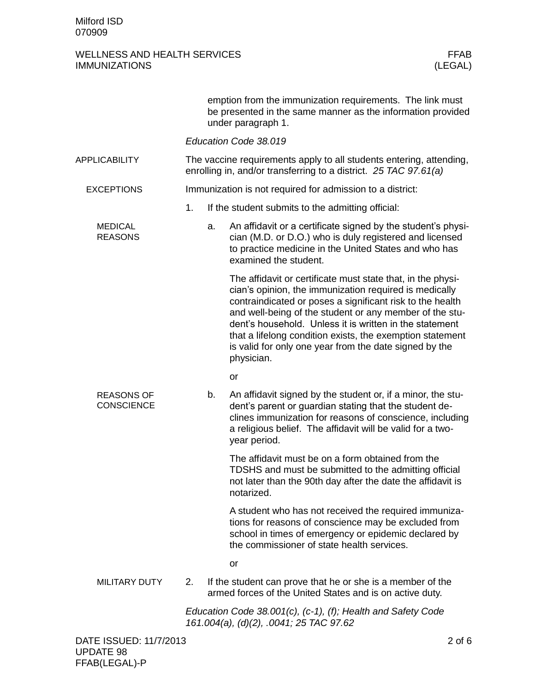|                                        |    |    | emption from the immunization requirements. The link must<br>be presented in the same manner as the information provided<br>under paragraph 1.                                                                                                                                                                                                                                                                                                |
|----------------------------------------|----|----|-----------------------------------------------------------------------------------------------------------------------------------------------------------------------------------------------------------------------------------------------------------------------------------------------------------------------------------------------------------------------------------------------------------------------------------------------|
|                                        |    |    | Education Code 38.019                                                                                                                                                                                                                                                                                                                                                                                                                         |
| <b>APPLICABILITY</b>                   |    |    | The vaccine requirements apply to all students entering, attending,<br>enrolling in, and/or transferring to a district. 25 TAC 97.61(a)                                                                                                                                                                                                                                                                                                       |
| <b>EXCEPTIONS</b>                      |    |    | Immunization is not required for admission to a district:                                                                                                                                                                                                                                                                                                                                                                                     |
|                                        | 1. |    | If the student submits to the admitting official:                                                                                                                                                                                                                                                                                                                                                                                             |
| <b>MEDICAL</b><br><b>REASONS</b>       |    | a. | An affidavit or a certificate signed by the student's physi-<br>cian (M.D. or D.O.) who is duly registered and licensed<br>to practice medicine in the United States and who has<br>examined the student.                                                                                                                                                                                                                                     |
|                                        |    |    | The affidavit or certificate must state that, in the physi-<br>cian's opinion, the immunization required is medically<br>contraindicated or poses a significant risk to the health<br>and well-being of the student or any member of the stu-<br>dent's household. Unless it is written in the statement<br>that a lifelong condition exists, the exemption statement<br>is valid for only one year from the date signed by the<br>physician. |
|                                        |    |    | <b>or</b>                                                                                                                                                                                                                                                                                                                                                                                                                                     |
| <b>REASONS OF</b><br><b>CONSCIENCE</b> |    | b. | An affidavit signed by the student or, if a minor, the stu-<br>dent's parent or guardian stating that the student de-<br>clines immunization for reasons of conscience, including<br>a religious belief. The affidavit will be valid for a two-<br>year period.                                                                                                                                                                               |
|                                        |    |    | The affidavit must be on a form obtained from the<br>TDSHS and must be submitted to the admitting official<br>not later than the 90th day after the date the affidavit is<br>notarized.                                                                                                                                                                                                                                                       |
|                                        |    |    | A student who has not received the required immuniza-<br>tions for reasons of conscience may be excluded from<br>school in times of emergency or epidemic declared by<br>the commissioner of state health services.                                                                                                                                                                                                                           |
|                                        |    |    | or                                                                                                                                                                                                                                                                                                                                                                                                                                            |
| <b>MILITARY DUTY</b>                   | 2. |    | If the student can prove that he or she is a member of the<br>armed forces of the United States and is on active duty.                                                                                                                                                                                                                                                                                                                        |
|                                        |    |    | Education Code 38.001(c), (c-1), (f); Health and Safety Code<br>161.004(a), (d)(2), .0041; 25 TAC 97.62                                                                                                                                                                                                                                                                                                                                       |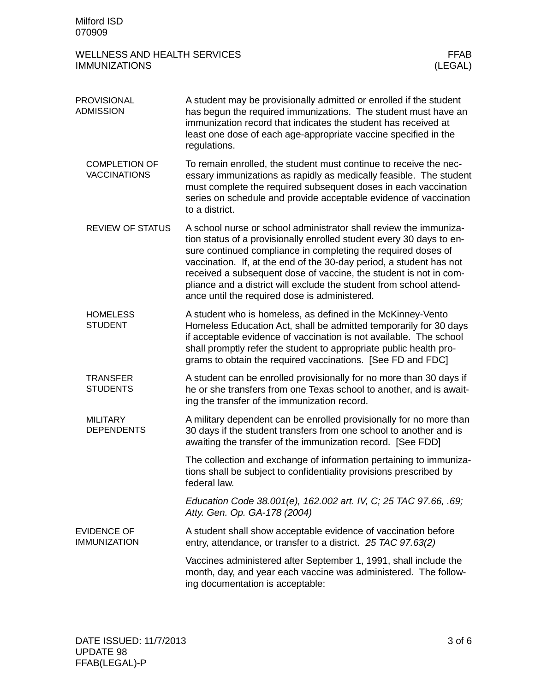| <b>PROVISIONAL</b><br><b>ADMISSION</b>      | A student may be provisionally admitted or enrolled if the student<br>has begun the required immunizations. The student must have an<br>immunization record that indicates the student has received at<br>least one dose of each age-appropriate vaccine specified in the<br>regulations.                                                                                                                                                                                      |
|---------------------------------------------|--------------------------------------------------------------------------------------------------------------------------------------------------------------------------------------------------------------------------------------------------------------------------------------------------------------------------------------------------------------------------------------------------------------------------------------------------------------------------------|
| <b>COMPLETION OF</b><br><b>VACCINATIONS</b> | To remain enrolled, the student must continue to receive the nec-<br>essary immunizations as rapidly as medically feasible. The student<br>must complete the required subsequent doses in each vaccination<br>series on schedule and provide acceptable evidence of vaccination<br>to a district.                                                                                                                                                                              |
| <b>REVIEW OF STATUS</b>                     | A school nurse or school administrator shall review the immuniza-<br>tion status of a provisionally enrolled student every 30 days to en-<br>sure continued compliance in completing the required doses of<br>vaccination. If, at the end of the 30-day period, a student has not<br>received a subsequent dose of vaccine, the student is not in com-<br>pliance and a district will exclude the student from school attend-<br>ance until the required dose is administered. |
| <b>HOMELESS</b><br><b>STUDENT</b>           | A student who is homeless, as defined in the McKinney-Vento<br>Homeless Education Act, shall be admitted temporarily for 30 days<br>if acceptable evidence of vaccination is not available. The school<br>shall promptly refer the student to appropriate public health pro-<br>grams to obtain the required vaccinations. [See FD and FDC]                                                                                                                                    |
| <b>TRANSFER</b><br><b>STUDENTS</b>          | A student can be enrolled provisionally for no more than 30 days if<br>he or she transfers from one Texas school to another, and is await-<br>ing the transfer of the immunization record.                                                                                                                                                                                                                                                                                     |
| <b>MILITARY</b><br><b>DEPENDENTS</b>        | A military dependent can be enrolled provisionally for no more than<br>30 days if the student transfers from one school to another and is<br>awaiting the transfer of the immunization record. [See FDD]                                                                                                                                                                                                                                                                       |
|                                             | The collection and exchange of information pertaining to immuniza-<br>tions shall be subject to confidentiality provisions prescribed by<br>federal law.                                                                                                                                                                                                                                                                                                                       |
|                                             | Education Code 38.001(e), 162.002 art. IV, C; 25 TAC 97.66, .69;<br>Atty. Gen. Op. GA-178 (2004)                                                                                                                                                                                                                                                                                                                                                                               |
| <b>EVIDENCE OF</b><br><b>IMMUNIZATION</b>   | A student shall show acceptable evidence of vaccination before<br>entry, attendance, or transfer to a district. 25 TAC 97.63(2)                                                                                                                                                                                                                                                                                                                                                |
|                                             | Vaccines administered after September 1, 1991, shall include the<br>month, day, and year each vaccine was administered. The follow-<br>ing documentation is acceptable:                                                                                                                                                                                                                                                                                                        |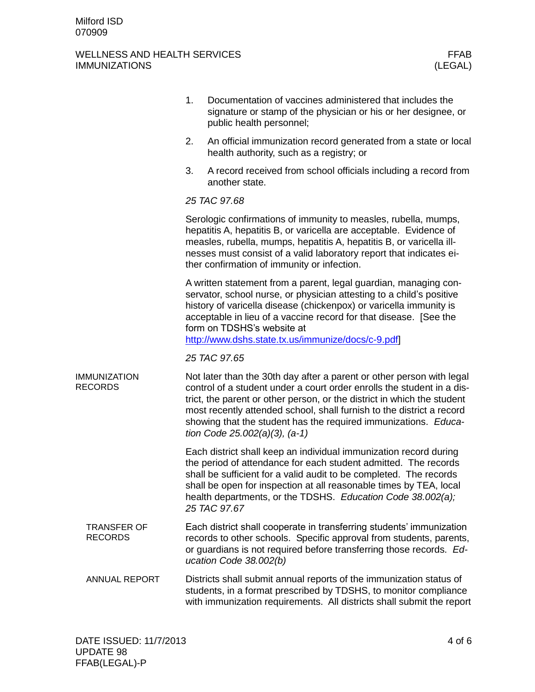|                                       |                                      | 1.                                                                                                                                                                                                                                                                                                                                                                      | Documentation of vaccines administered that includes the<br>signature or stamp of the physician or his or her designee, or<br>public health personnel;                                                                                                                                                                                                                                                       |  |  |  |
|---------------------------------------|--------------------------------------|-------------------------------------------------------------------------------------------------------------------------------------------------------------------------------------------------------------------------------------------------------------------------------------------------------------------------------------------------------------------------|--------------------------------------------------------------------------------------------------------------------------------------------------------------------------------------------------------------------------------------------------------------------------------------------------------------------------------------------------------------------------------------------------------------|--|--|--|
|                                       |                                      | 2.                                                                                                                                                                                                                                                                                                                                                                      | An official immunization record generated from a state or local<br>health authority, such as a registry; or                                                                                                                                                                                                                                                                                                  |  |  |  |
|                                       |                                      | 3.                                                                                                                                                                                                                                                                                                                                                                      | A record received from school officials including a record from<br>another state.                                                                                                                                                                                                                                                                                                                            |  |  |  |
|                                       |                                      | 25 TAC 97.68                                                                                                                                                                                                                                                                                                                                                            |                                                                                                                                                                                                                                                                                                                                                                                                              |  |  |  |
|                                       |                                      | Serologic confirmations of immunity to measles, rubella, mumps,<br>hepatitis A, hepatitis B, or varicella are acceptable. Evidence of<br>measles, rubella, mumps, hepatitis A, hepatitis B, or varicella ill-<br>nesses must consist of a valid laboratory report that indicates ei-<br>ther confirmation of immunity or infection.                                     |                                                                                                                                                                                                                                                                                                                                                                                                              |  |  |  |
|                                       |                                      | A written statement from a parent, legal guardian, managing con-<br>servator, school nurse, or physician attesting to a child's positive<br>history of varicella disease (chickenpox) or varicella immunity is<br>acceptable in lieu of a vaccine record for that disease. [See the<br>form on TDSHS's website at<br>http://www.dshs.state.tx.us/immunize/docs/c-9.pdf] |                                                                                                                                                                                                                                                                                                                                                                                                              |  |  |  |
|                                       |                                      | 25 TAC 97.65                                                                                                                                                                                                                                                                                                                                                            |                                                                                                                                                                                                                                                                                                                                                                                                              |  |  |  |
| <b>IMMUNIZATION</b><br><b>RECORDS</b> |                                      |                                                                                                                                                                                                                                                                                                                                                                         | Not later than the 30th day after a parent or other person with legal<br>control of a student under a court order enrolls the student in a dis-<br>trict, the parent or other person, or the district in which the student<br>most recently attended school, shall furnish to the district a record<br>showing that the student has the required immunizations. Educa-<br>tion Code $25.002(a)(3)$ , $(a-1)$ |  |  |  |
|                                       |                                      |                                                                                                                                                                                                                                                                                                                                                                         | Each district shall keep an individual immunization record during<br>the period of attendance for each student admitted. The records<br>shall be sufficient for a valid audit to be completed. The records<br>shall be open for inspection at all reasonable times by TEA, local<br>health departments, or the TDSHS. Education Code 38.002(a);<br>25 TAC 97.67                                              |  |  |  |
|                                       | <b>TRANSFER OF</b><br><b>RECORDS</b> |                                                                                                                                                                                                                                                                                                                                                                         | Each district shall cooperate in transferring students' immunization<br>records to other schools. Specific approval from students, parents,<br>or guardians is not required before transferring those records. Ed-<br>ucation Code 38.002(b)                                                                                                                                                                 |  |  |  |
|                                       | <b>ANNUAL REPORT</b>                 |                                                                                                                                                                                                                                                                                                                                                                         | Districts shall submit annual reports of the immunization status of<br>students, in a format prescribed by TDSHS, to monitor compliance<br>with immunization requirements. All districts shall submit the report                                                                                                                                                                                             |  |  |  |
|                                       |                                      |                                                                                                                                                                                                                                                                                                                                                                         |                                                                                                                                                                                                                                                                                                                                                                                                              |  |  |  |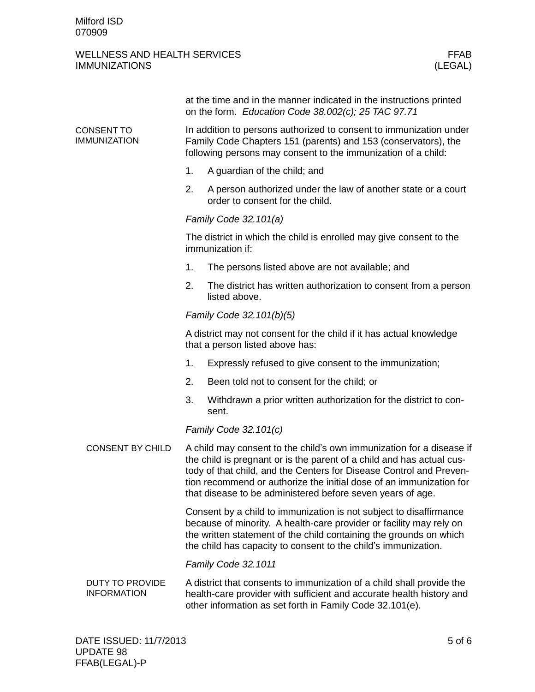#### WELLNESS AND HEALTH SERVICES FRAGE IN A SERVICE STATE OF THE SERVICE STATE IN A SERVICE STATE OF THE SERVICE S<br>IMMUNIZATIONS (LEGAL) **IMMUNIZATIONS**

|                                              |                                                                                                                                                                                                                                                                                                                                                           | at the time and in the manner indicated in the instructions printed<br>on the form. Education Code 38.002(c); 25 TAC 97.71                                                                                |  |  |  |
|----------------------------------------------|-----------------------------------------------------------------------------------------------------------------------------------------------------------------------------------------------------------------------------------------------------------------------------------------------------------------------------------------------------------|-----------------------------------------------------------------------------------------------------------------------------------------------------------------------------------------------------------|--|--|--|
| CONSENT TO<br><b>IMMUNIZATION</b>            | In addition to persons authorized to consent to immunization under<br>Family Code Chapters 151 (parents) and 153 (conservators), the<br>following persons may consent to the immunization of a child:                                                                                                                                                     |                                                                                                                                                                                                           |  |  |  |
|                                              | 1.                                                                                                                                                                                                                                                                                                                                                        | A guardian of the child; and                                                                                                                                                                              |  |  |  |
|                                              | 2.                                                                                                                                                                                                                                                                                                                                                        | A person authorized under the law of another state or a court<br>order to consent for the child.                                                                                                          |  |  |  |
|                                              | Family Code 32.101(a)                                                                                                                                                                                                                                                                                                                                     |                                                                                                                                                                                                           |  |  |  |
|                                              | The district in which the child is enrolled may give consent to the<br>immunization if:                                                                                                                                                                                                                                                                   |                                                                                                                                                                                                           |  |  |  |
|                                              | 1.                                                                                                                                                                                                                                                                                                                                                        | The persons listed above are not available; and                                                                                                                                                           |  |  |  |
|                                              | 2.                                                                                                                                                                                                                                                                                                                                                        | The district has written authorization to consent from a person<br>listed above.                                                                                                                          |  |  |  |
|                                              |                                                                                                                                                                                                                                                                                                                                                           | Family Code 32.101(b)(5)                                                                                                                                                                                  |  |  |  |
|                                              |                                                                                                                                                                                                                                                                                                                                                           | A district may not consent for the child if it has actual knowledge<br>that a person listed above has:                                                                                                    |  |  |  |
|                                              | 1.                                                                                                                                                                                                                                                                                                                                                        | Expressly refused to give consent to the immunization;                                                                                                                                                    |  |  |  |
|                                              | 2.                                                                                                                                                                                                                                                                                                                                                        | Been told not to consent for the child; or                                                                                                                                                                |  |  |  |
|                                              | 3.                                                                                                                                                                                                                                                                                                                                                        | Withdrawn a prior written authorization for the district to con-<br>sent.                                                                                                                                 |  |  |  |
|                                              |                                                                                                                                                                                                                                                                                                                                                           | Family Code 32.101(c)                                                                                                                                                                                     |  |  |  |
| <b>CONSENT BY CHILD</b>                      | A child may consent to the child's own immunization for a disease if<br>the child is pregnant or is the parent of a child and has actual cus-<br>tody of that child, and the Centers for Disease Control and Preven-<br>tion recommend or authorize the initial dose of an immunization for<br>that disease to be administered before seven years of age. |                                                                                                                                                                                                           |  |  |  |
|                                              | Consent by a child to immunization is not subject to disaffirmance<br>because of minority. A health-care provider or facility may rely on<br>the written statement of the child containing the grounds on which<br>the child has capacity to consent to the child's immunization.                                                                         |                                                                                                                                                                                                           |  |  |  |
|                                              |                                                                                                                                                                                                                                                                                                                                                           | Family Code 32.1011                                                                                                                                                                                       |  |  |  |
| <b>DUTY TO PROVIDE</b><br><b>INFORMATION</b> |                                                                                                                                                                                                                                                                                                                                                           | A district that consents to immunization of a child shall provide the<br>health-care provider with sufficient and accurate health history and<br>other information as set forth in Family Code 32.101(e). |  |  |  |